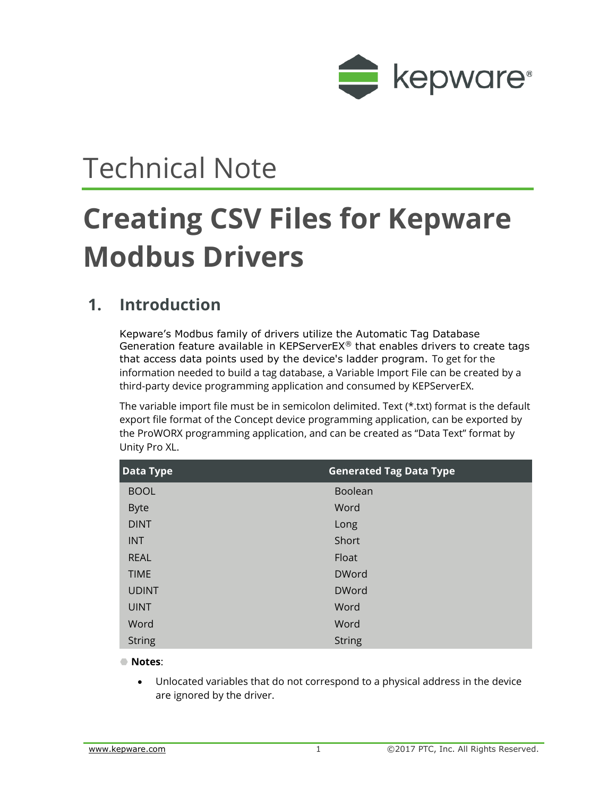

# Technical Note

# **Creating CSV Files for Kepware Modbus Drivers**

#### **1. Introduction**

Kepware's Modbus family of drivers utilize the Automatic Tag Database Generation feature available in KEPServerEX® that enables drivers to create tags that access data points used by the device's ladder program. To get for the information needed to build a tag database, a Variable Import File can be created by a third-party device programming application and consumed by KEPServerEX.

The variable import file must be in semicolon delimited. Text (\*.txt) format is the default export file format of the Concept device programming application, can be exported by the ProWORX programming application, and can be created as "Data Text" format by Unity Pro XL.

| <b>Data Type</b> | <b>Generated Tag Data Type</b> |
|------------------|--------------------------------|
| <b>BOOL</b>      | Boolean                        |
| <b>Byte</b>      | Word                           |
| <b>DINT</b>      | Long                           |
| <b>INT</b>       | <b>Short</b>                   |
| <b>REAL</b>      | Float                          |
| <b>TIME</b>      | <b>DWord</b>                   |
| <b>UDINT</b>     | <b>DWord</b>                   |
| <b>UINT</b>      | Word                           |
| Word             | Word                           |
| <b>String</b>    | <b>String</b>                  |

**Notes**:

 Unlocated variables that do not correspond to a physical address in the device are ignored by the driver.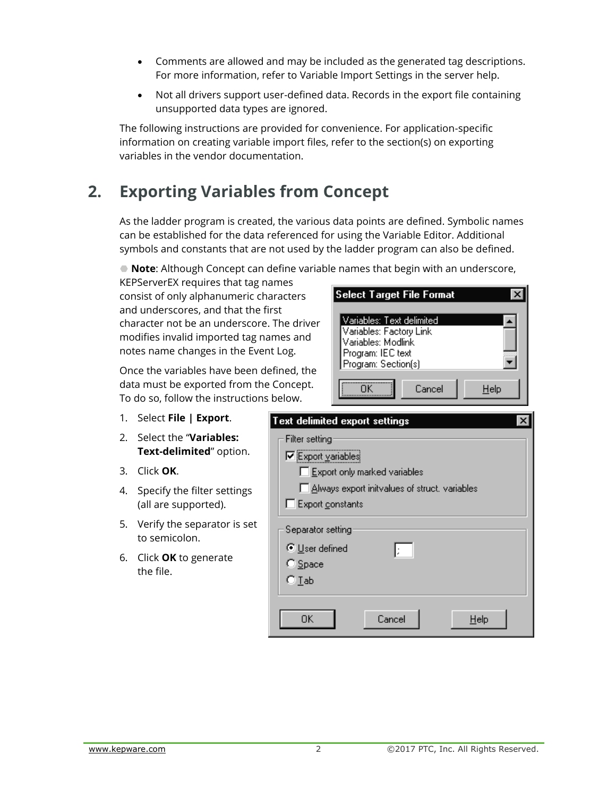- Comments are allowed and may be included as the generated tag descriptions. For more information, refer to Variable Import Settings in the server help.
- Not all drivers support user-defined data. Records in the export file containing unsupported data types are ignored.

The following instructions are provided for convenience. For application-specific information on creating variable import files, refer to the section(s) on exporting variables in the vendor documentation.

# **2. Exporting Variables from Concept**

As the ladder program is created, the various data points are defined. Symbolic names can be established for the data referenced for using the Variable Editor. Additional symbols and constants that are not used by the ladder program can also be defined.

**Note**: Although Concept can define variable names that begin with an underscore,

KEPServerEX requires that tag names consist of only alphanumeric characters and underscores, and that the first character not be an underscore. The driver modifies invalid imported tag names and notes name changes in the Event Log.

Once the variables have been defined, the data must be exported from the Concept. To do so, follow the instructions below.

- 1. Select **File | Export**.
- 2. Select the "**Variables: Text-delimited**" option.
- 3. Click **OK**.
- 4. Specify the filter settings (all are supported).
- 5. Verify the separator is set to semicolon.
- 6. Click **OK** to generate the file.



Select Target File Format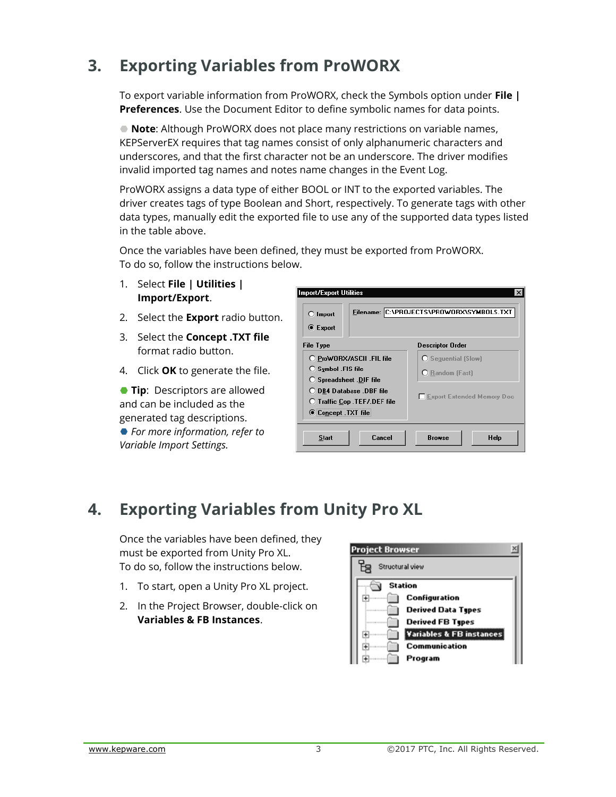# **3. Exporting Variables from ProWORX**

To export variable information from ProWORX, check the Symbols option under **File | Preferences**. Use the Document Editor to define symbolic names for data points.

 **Note**: Although ProWORX does not place many restrictions on variable names, KEPServerEX requires that tag names consist of only alphanumeric characters and underscores, and that the first character not be an underscore. The driver modifies invalid imported tag names and notes name changes in the Event Log.

ProWORX assigns a data type of either BOOL or INT to the exported variables. The driver creates tags of type Boolean and Short, respectively. To generate tags with other data types, manually edit the exported file to use any of the supported data types listed in the table above.

Once the variables have been defined, they must be exported from ProWORX. To do so, follow the instructions below.

- 1. Select **File | Utilities | Import/Export**.
- 2. Select the **Export** radio button.
- 3. Select the **Concept .TXT file** format radio button.
- 4. Click **OK** to generate the file.

**Tip**: Descriptors are allowed and can be included as the generated tag descriptions. *For more information, refer to Variable Import Settings.*

| Import/Export Utilities<br>$\bigcirc$ Import<br><b>■ Export</b>                                                                                                                     | Filename: C:\PROJECTS\PROWORX\SYMBOLS.TXT                                          |
|-------------------------------------------------------------------------------------------------------------------------------------------------------------------------------------|------------------------------------------------------------------------------------|
| File Type                                                                                                                                                                           | <b>Descriptor Order</b>                                                            |
| O ProWORX/ASCII .FIL file<br>$\bigcirc$ Symbol . FIS file<br><b>O</b> Spreadsheet DIF file<br>◯ DB4 Database .DBF file<br><b>O</b> Traffic Cop .TEF7.DEF file<br>C Concept TXT file | <b>C</b> Sequential (Slow)<br>C Random (Fast)<br><b>Export Extended Memory Doc</b> |
| Cancel<br>Start                                                                                                                                                                     | <b>Browse</b><br>Help                                                              |

### **4. Exporting Variables from Unity Pro XL**

Once the variables have been defined, they must be exported from Unity Pro XL. To do so, follow the instructions below.

- 1. To start, open a Unity Pro XL project.
- 2. In the Project Browser, double-click on **Variables & FB Instances**.

| <b>Project Browser</b> |                 |                           |  |
|------------------------|-----------------|---------------------------|--|
| ቼ                      | Structural view |                           |  |
|                        | <b>Station</b>  |                           |  |
|                        |                 | Configuration             |  |
|                        |                 | <b>Derived Data Types</b> |  |
|                        |                 | <b>Derived FB Types</b>   |  |
|                        |                 | Variables & FB instances  |  |
|                        |                 | <b>Communication</b>      |  |
|                        |                 | Program                   |  |